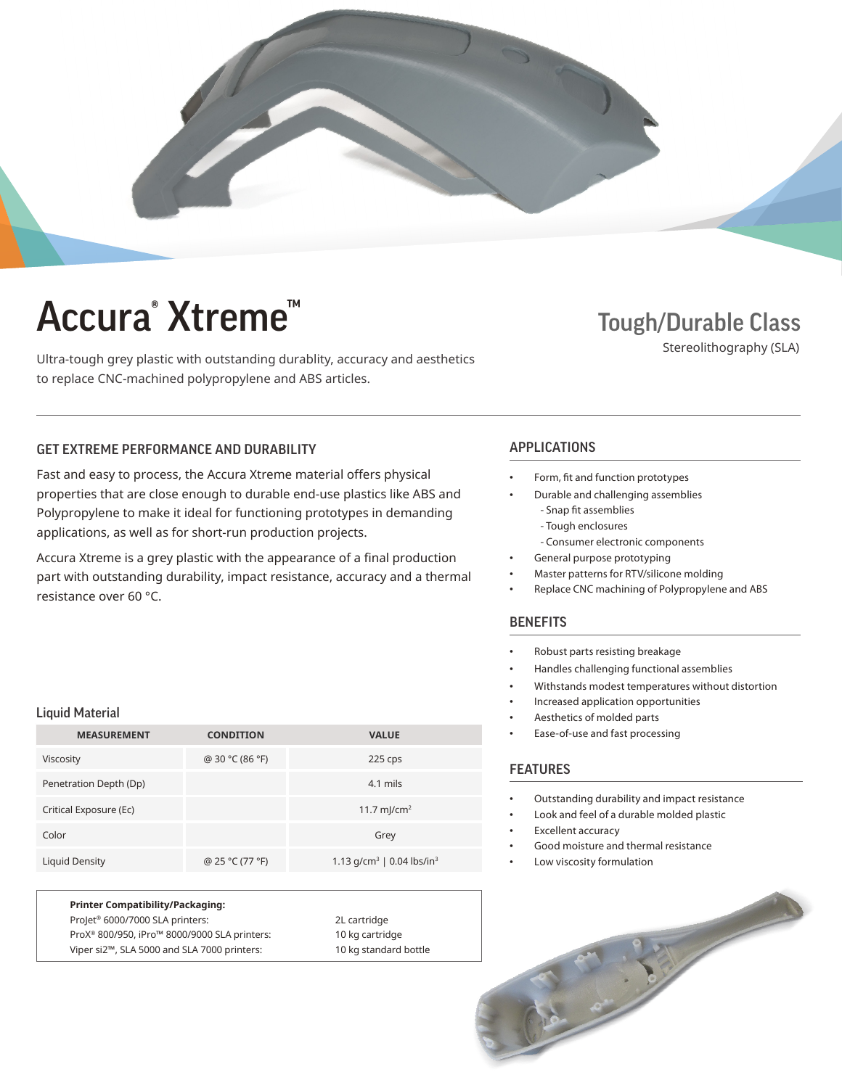

# Accura<sup>®</sup> Xtreme<sup>™</sup>

Ultra-tough grey plastic with outstanding durablity, accuracy and aesthetics to replace CNC-machined polypropylene and ABS articles.

### Tough/Durable Class

Stereolithography (SLA)

### GET EXTREME PERFORMANCE AND DURABILITY **APPLICATIONS**

Fast and easy to process, the Accura Xtreme material offers physical properties that are close enough to durable end-use plastics like ABS and Polypropylene to make it ideal for functioning prototypes in demanding applications, as well as for short-run production projects.

Accura Xtreme is a grey plastic with the appearance of a final production part with outstanding durability, impact resistance, accuracy and a thermal resistance over 60 °C.

#### Liquid Material

| <b>MEASUREMENT</b>     | <b>CONDITION</b> | <b>VALUE</b>                                      |
|------------------------|------------------|---------------------------------------------------|
| Viscosity              | @ 30 °C (86 °F)  | 225 cps                                           |
| Penetration Depth (Dp) |                  | 4.1 mils                                          |
| Critical Exposure (Ec) |                  | 11.7 mJ/cm <sup>2</sup>                           |
| Color                  |                  | Grey                                              |
| Liquid Density         | @ 25 °C (77 °F)  | 1.13 g/cm <sup>3</sup>   0.04 lbs/in <sup>3</sup> |

**Printer Compatibility/Packaging:** ProJet® 6000/7000 SLA printers: 2L cartridge ProX® 800/950, iPro™ 8000/9000 SLA printers: 10 kg cartridge Viper si2™, SLA 5000 and SLA 7000 printers: 10 kg standard bottle

- Form, fit and function prototypes
	- Durable and challenging assemblies
		- Snap fit assemblies - Tough enclosures
		-
	- Consumer electronic components General purpose prototyping
- Master patterns for RTV/silicone molding
- Replace CNC machining of Polypropylene and ABS

#### **BENEFITS**

- Robust parts resisting breakage
- Handles challenging functional assemblies
- Withstands modest temperatures without distortion
- Increased application opportunities
- Aesthetics of molded parts
- Ease-of-use and fast processing

#### FEATURES

- Outstanding durability and impact resistance
- Look and feel of a durable molded plastic
- Excellent accuracy
- Good moisture and thermal resistance
- Low viscosity formulation